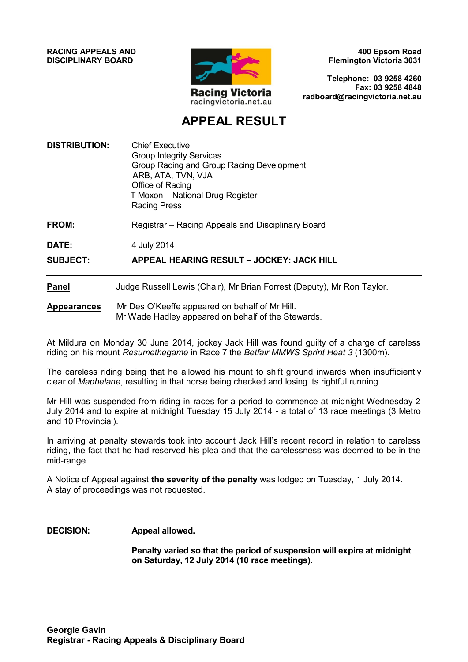**RACING APPEALS AND DISCIPLINARY BOARD**



**400 Epsom Road Flemington Victoria 3031**

**Telephone: 03 9258 4260 Fax: 03 9258 4848 radboard@racingvictoria.net.au**

## **APPEAL RESULT**

| <b>DISTRIBUTION:</b>              | <b>Chief Executive</b><br><b>Group Integrity Services</b><br>Group Racing and Group Racing Development<br>ARB, ATA, TVN, VJA<br>Office of Racing<br>T Moxon - National Drug Register<br><b>Racing Press</b> |
|-----------------------------------|-------------------------------------------------------------------------------------------------------------------------------------------------------------------------------------------------------------|
| FROM:<br>DATE:<br><b>SUBJECT:</b> | Registrar - Racing Appeals and Disciplinary Board<br>4 July 2014<br>APPEAL HEARING RESULT - JOCKEY: JACK HILL                                                                                               |
|                                   |                                                                                                                                                                                                             |
| <b>Appearances</b>                | Mr Des O'Keeffe appeared on behalf of Mr Hill.<br>Mr Wade Hadley appeared on behalf of the Stewards.                                                                                                        |

At Mildura on Monday 30 June 2014, jockey Jack Hill was found guilty of a charge of careless riding on his mount *Resumethegame* in Race 7 the *Betfair MMWS Sprint Heat 3* (1300m).

The careless riding being that he allowed his mount to shift ground inwards when insufficiently clear of *Maphelane*, resulting in that horse being checked and losing its rightful running.

Mr Hill was suspended from riding in races for a period to commence at midnight Wednesday 2 July 2014 and to expire at midnight Tuesday 15 July 2014 - a total of 13 race meetings (3 Metro and 10 Provincial).

In arriving at penalty stewards took into account Jack Hill's recent record in relation to careless riding, the fact that he had reserved his plea and that the carelessness was deemed to be in the mid-range.

A Notice of Appeal against **the severity of the penalty** was lodged on Tuesday, 1 July 2014. A stay of proceedings was not requested.

**DECISION: Appeal allowed.**

**Penalty varied so that the period of suspension will expire at midnight on Saturday, 12 July 2014 (10 race meetings).**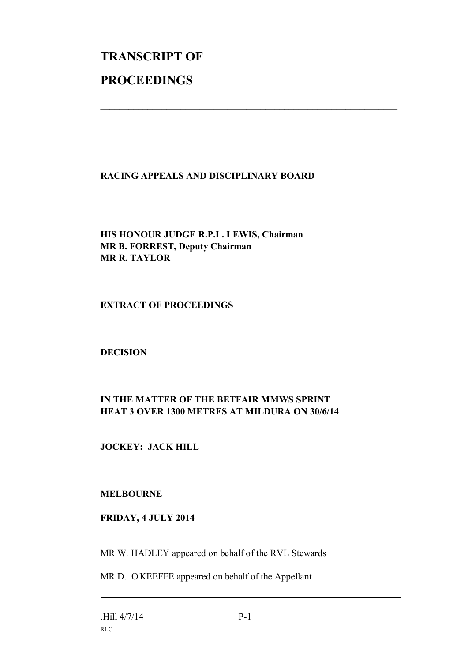# **TRANSCRIPT OF PROCEEDINGS**

#### **RACING APPEALS AND DISCIPLINARY BOARD**

 $\mathcal{L}_\text{max}$  , and the contribution of the contribution of the contribution of the contribution of the contribution of the contribution of the contribution of the contribution of the contribution of the contribution of t

#### **HIS HONOUR JUDGE R.P.L. LEWIS, Chairman MR B. FORREST, Deputy Chairman MR R. TAYLOR**

#### **EXTRACT OF PROCEEDINGS**

#### **DECISION**

### **IN THE MATTER OF THE BETFAIR MMWS SPRINT HEAT 3 OVER 1300 METRES AT MILDURA ON 30/6/14**

#### **JOCKEY: JACK HILL**

#### **MELBOURNE**

#### **FRIDAY, 4 JULY 2014**

MR W. HADLEY appeared on behalf of the RVL Stewards

MR D. O'KEEFFE appeared on behalf of the Appellant